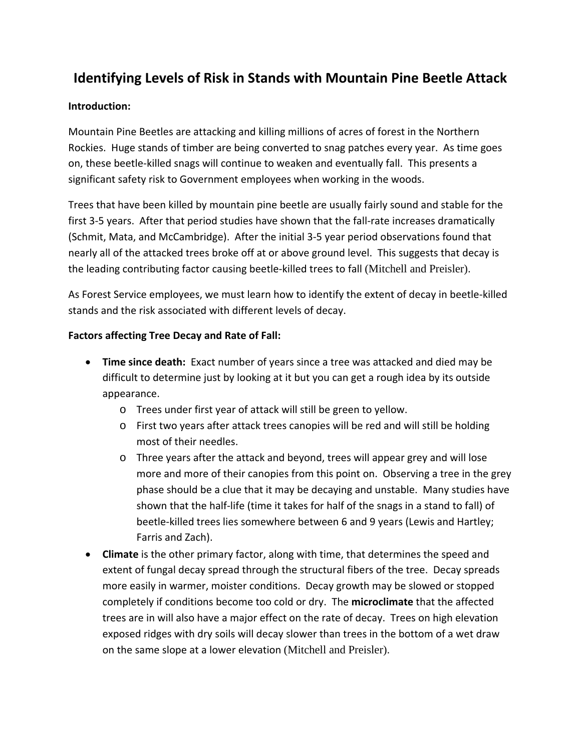# **Identifying Levels of Risk in Stands with Mountain Pine Beetle Attack**

### **Introduction:**

Mountain Pine Beetles are attacking and killing millions of acres of forest in the Northern Rockies. Huge stands of timber are being converted to snag patches every year. As time goes on, these beetle-killed snags will continue to weaken and eventually fall. This presents a significant safety risk to Government employees when working in the woods.

Trees that have been killed by mountain pine beetle are usually fairly sound and stable for the first 3-5 years. After that period studies have shown that the fall-rate increases dramatically (Schmit, Mata, and McCambridge). After the initial 3-5 year period observations found that nearly all of the attacked trees broke off at or above ground level. This suggests that decay is the leading contributing factor causing beetle-killed trees to fall (Mitchell and Preisler).

As Forest Service employees, we must learn how to identify the extent of decay in beetle-killed stands and the risk associated with different levels of decay.

#### **Factors affecting Tree Decay and Rate of Fall:**

- **Time since death:** Exact number of years since a tree was attacked and died may be difficult to determine just by looking at it but you can get a rough idea by its outside appearance.
	- o Trees under first year of attack will still be green to yellow.
	- o First two years after attack trees canopies will be red and will still be holding most of their needles.
	- o Three years after the attack and beyond, trees will appear grey and will lose more and more of their canopies from this point on. Observing a tree in the grey phase should be a clue that it may be decaying and unstable. Many studies have shown that the half-life (time it takes for half of the snags in a stand to fall) of beetle-killed trees lies somewhere between 6 and 9 years (Lewis and Hartley; Farris and Zach).
- **Climate** is the other primary factor, along with time, that determines the speed and extent of fungal decay spread through the structural fibers of the tree. Decay spreads more easily in warmer, moister conditions. Decay growth may be slowed or stopped completely if conditions become too cold or dry. The **microclimate** that the affected trees are in will also have a major effect on the rate of decay. Trees on high elevation exposed ridges with dry soils will decay slower than trees in the bottom of a wet draw on the same slope at a lower elevation (Mitchell and Preisler).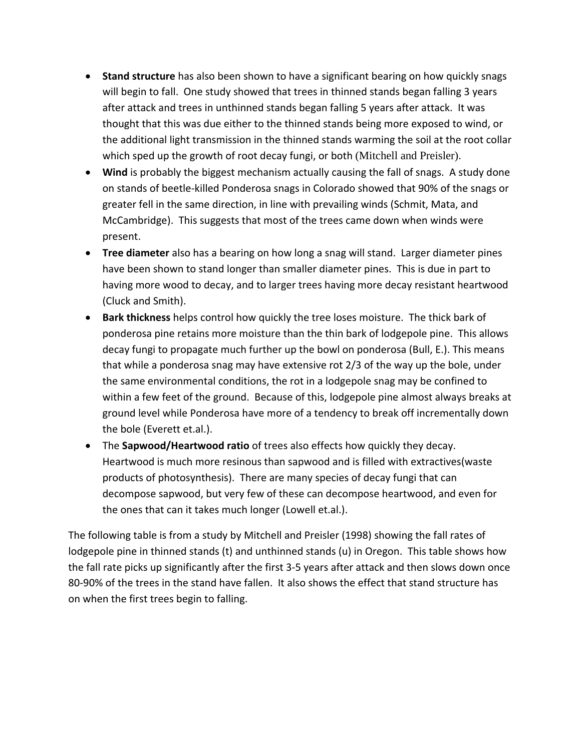- **Stand structure** has also been shown to have a significant bearing on how quickly snags will begin to fall. One study showed that trees in thinned stands began falling 3 years after attack and trees in unthinned stands began falling 5 years after attack. It was thought that this was due either to the thinned stands being more exposed to wind, or the additional light transmission in the thinned stands warming the soil at the root collar which sped up the growth of root decay fungi, or both (Mitchell and Preisler).
- **Wind** is probably the biggest mechanism actually causing the fall of snags. A study done on stands of beetle-killed Ponderosa snags in Colorado showed that 90% of the snags or greater fell in the same direction, in line with prevailing winds (Schmit, Mata, and McCambridge). This suggests that most of the trees came down when winds were present.
- **Tree diameter** also has a bearing on how long a snag will stand. Larger diameter pines have been shown to stand longer than smaller diameter pines. This is due in part to having more wood to decay, and to larger trees having more decay resistant heartwood (Cluck and Smith).
- **Bark thickness** helps control how quickly the tree loses moisture. The thick bark of ponderosa pine retains more moisture than the thin bark of lodgepole pine. This allows decay fungi to propagate much further up the bowl on ponderosa (Bull, E.). This means that while a ponderosa snag may have extensive rot 2/3 of the way up the bole, under the same environmental conditions, the rot in a lodgepole snag may be confined to within a few feet of the ground. Because of this, lodgepole pine almost always breaks at ground level while Ponderosa have more of a tendency to break off incrementally down the bole (Everett et.al.).
- The **Sapwood/Heartwood ratio** of trees also effects how quickly they decay. Heartwood is much more resinous than sapwood and is filled with extractives(waste products of photosynthesis). There are many species of decay fungi that can decompose sapwood, but very few of these can decompose heartwood, and even for the ones that can it takes much longer (Lowell et.al.).

The following table is from a study by Mitchell and Preisler (1998) showing the fall rates of lodgepole pine in thinned stands (t) and unthinned stands (u) in Oregon. This table shows how the fall rate picks up significantly after the first 3-5 years after attack and then slows down once 80-90% of the trees in the stand have fallen. It also shows the effect that stand structure has on when the first trees begin to falling.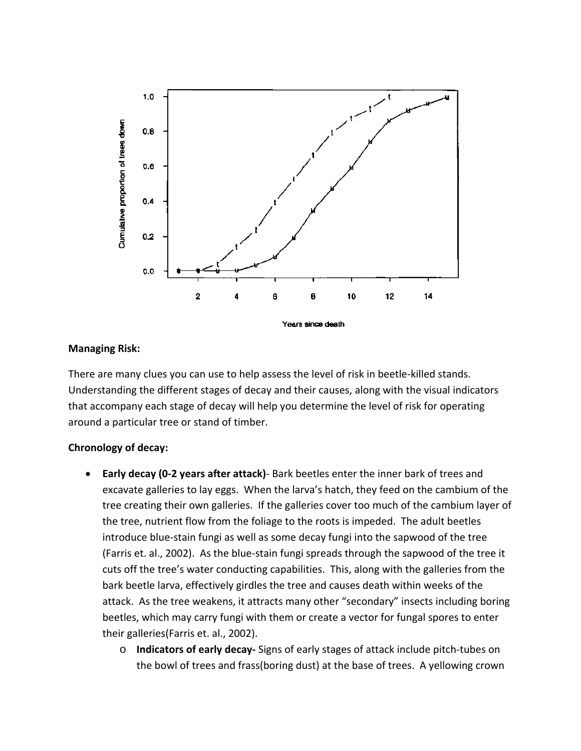

#### **Managing Risk:**

There are many clues you can use to help assess the level of risk in beetle-killed stands. Understanding the different stages of decay and their causes, along with the visual indicators that accompany each stage of decay will help you determine the level of risk for operating around a particular tree or stand of timber.

#### **Chronology of decay:**

- **Early decay (0-2 years after attack)** Bark beetles enter the inner bark of trees and excavate galleries to lay eggs. When the larva's hatch, they feed on the cambium of the tree creating their own galleries. If the galleries cover too much of the cambium layer of the tree, nutrient flow from the foliage to the roots is impeded. The adult beetles introduce blue-stain fungi as well as some decay fungi into the sapwood of the tree (Farris et. al., 2002). As the blue-stain fungi spreads through the sapwood of the tree it cuts off the tree's water conducting capabilities. This, along with the galleries from the bark beetle larva, effectively girdles the tree and causes death within weeks of the attack. As the tree weakens, it attracts many other "secondary" insects including boring beetles, which may carry fungi with them or create a vector for fungal spores to enter their galleries(Farris et. al., 2002).
	- o **Indicators of early decay-** Signs of early stages of attack include pitch-tubes on the bowl of trees and frass(boring dust) at the base of trees. A yellowing crown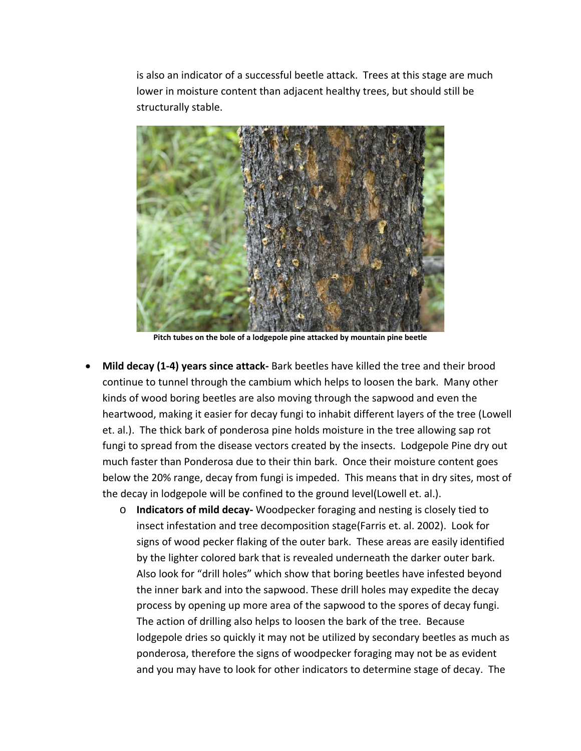is also an indicator of a successful beetle attack. Trees at this stage are much lower in moisture content than adjacent healthy trees, but should still be structurally stable.



**Pitch tubes on the bole of a lodgepole pine attacked by mountain pine beetle** 

- **Mild decay (1-4) years since attack-** Bark beetles have killed the tree and their brood continue to tunnel through the cambium which helps to loosen the bark. Many other kinds of wood boring beetles are also moving through the sapwood and even the heartwood, making it easier for decay fungi to inhabit different layers of the tree (Lowell et. al.). The thick bark of ponderosa pine holds moisture in the tree allowing sap rot fungi to spread from the disease vectors created by the insects. Lodgepole Pine dry out much faster than Ponderosa due to their thin bark. Once their moisture content goes below the 20% range, decay from fungi is impeded. This means that in dry sites, most of the decay in lodgepole will be confined to the ground level(Lowell et. al.).
	- o **Indicators of mild decay-** Woodpecker foraging and nesting is closely tied to insect infestation and tree decomposition stage(Farris et. al. 2002). Look for signs of wood pecker flaking of the outer bark. These areas are easily identified by the lighter colored bark that is revealed underneath the darker outer bark. Also look for "drill holes" which show that boring beetles have infested beyond the inner bark and into the sapwood. These drill holes may expedite the decay process by opening up more area of the sapwood to the spores of decay fungi. The action of drilling also helps to loosen the bark of the tree. Because lodgepole dries so quickly it may not be utilized by secondary beetles as much as ponderosa, therefore the signs of woodpecker foraging may not be as evident and you may have to look for other indicators to determine stage of decay. The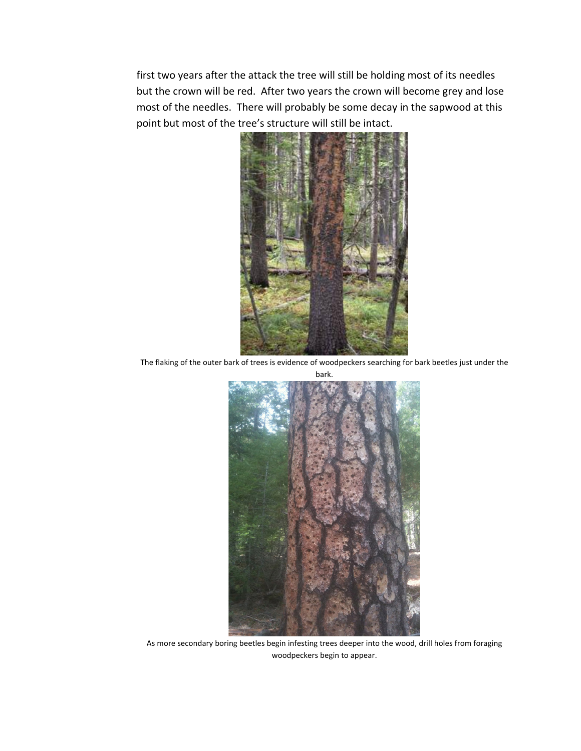first two years after the attack the tree will still be holding most of its needles but the crown will be red. After two years the crown will become grey and lose most of the needles. There will probably be some decay in the sapwood at this point but most of the tree's structure will still be intact.



The flaking of the outer bark of trees is evidence of woodpeckers searching for bark beetles just under the bark.



As more secondary boring beetles begin infesting trees deeper into the wood, drill holes from foraging woodpeckers begin to appear.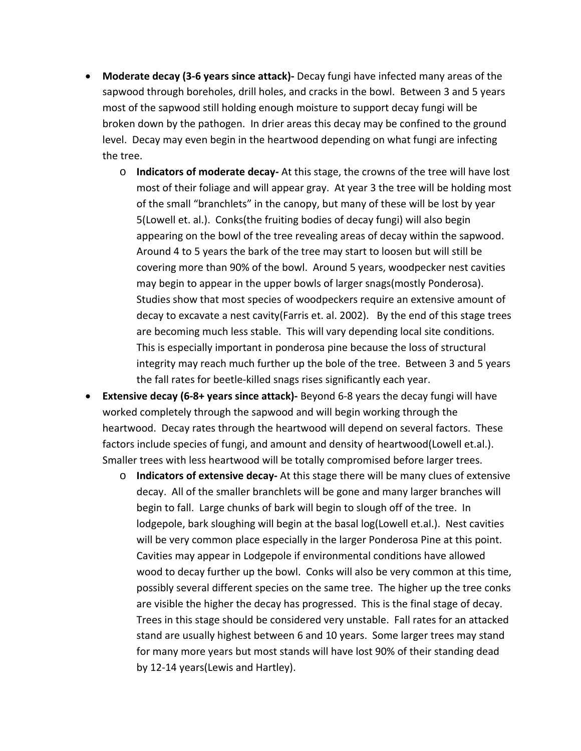- **Moderate decay (3-6 years since attack)-** Decay fungi have infected many areas of the sapwood through boreholes, drill holes, and cracks in the bowl. Between 3 and 5 years most of the sapwood still holding enough moisture to support decay fungi will be broken down by the pathogen. In drier areas this decay may be confined to the ground level. Decay may even begin in the heartwood depending on what fungi are infecting the tree.
	- o **Indicators of moderate decay-** At this stage, the crowns of the tree will have lost most of their foliage and will appear gray. At year 3 the tree will be holding most of the small "branchlets" in the canopy, but many of these will be lost by year 5(Lowell et. al.). Conks(the fruiting bodies of decay fungi) will also begin appearing on the bowl of the tree revealing areas of decay within the sapwood. Around 4 to 5 years the bark of the tree may start to loosen but will still be covering more than 90% of the bowl. Around 5 years, woodpecker nest cavities may begin to appear in the upper bowls of larger snags(mostly Ponderosa). Studies show that most species of woodpeckers require an extensive amount of decay to excavate a nest cavity(Farris et. al. 2002). By the end of this stage trees are becoming much less stable. This will vary depending local site conditions. This is especially important in ponderosa pine because the loss of structural integrity may reach much further up the bole of the tree. Between 3 and 5 years the fall rates for beetle-killed snags rises significantly each year.
- **Extensive decay (6-8+ years since attack)-** Beyond 6-8 years the decay fungi will have worked completely through the sapwood and will begin working through the heartwood. Decay rates through the heartwood will depend on several factors. These factors include species of fungi, and amount and density of heartwood(Lowell et.al.). Smaller trees with less heartwood will be totally compromised before larger trees.
	- o **Indicators of extensive decay-** At this stage there will be many clues of extensive decay. All of the smaller branchlets will be gone and many larger branches will begin to fall. Large chunks of bark will begin to slough off of the tree. In lodgepole, bark sloughing will begin at the basal log(Lowell et.al.). Nest cavities will be very common place especially in the larger Ponderosa Pine at this point. Cavities may appear in Lodgepole if environmental conditions have allowed wood to decay further up the bowl. Conks will also be very common at this time, possibly several different species on the same tree. The higher up the tree conks are visible the higher the decay has progressed. This is the final stage of decay. Trees in this stage should be considered very unstable. Fall rates for an attacked stand are usually highest between 6 and 10 years. Some larger trees may stand for many more years but most stands will have lost 90% of their standing dead by 12-14 years(Lewis and Hartley).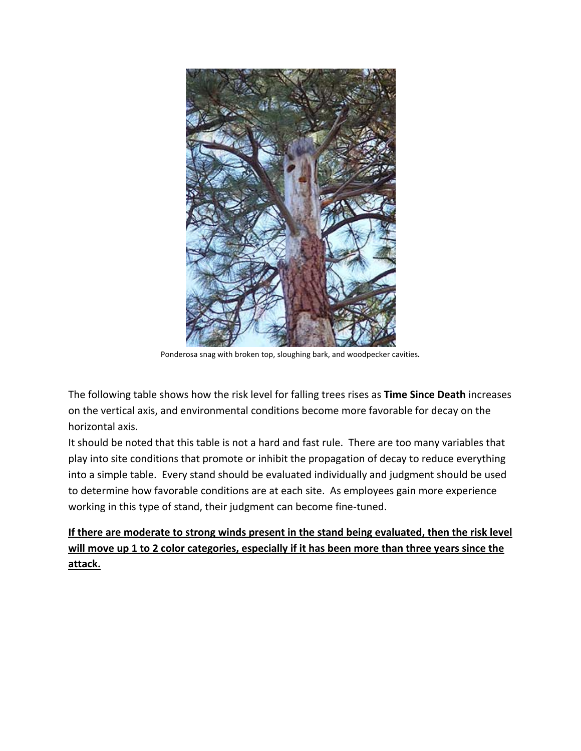

Ponderosa snag with broken top, sloughing bark, and woodpecker cavities**.** 

The following table shows how the risk level for falling trees rises as **Time Since Death** increases on the vertical axis, and environmental conditions become more favorable for decay on the horizontal axis.

It should be noted that this table is not a hard and fast rule. There are too many variables that play into site conditions that promote or inhibit the propagation of decay to reduce everything into a simple table. Every stand should be evaluated individually and judgment should be used to determine how favorable conditions are at each site. As employees gain more experience working in this type of stand, their judgment can become fine-tuned.

**If there are moderate to strong winds present in the stand being evaluated, then the risk level will move up 1 to 2 color categories, especially if it has been more than three years since the attack.**